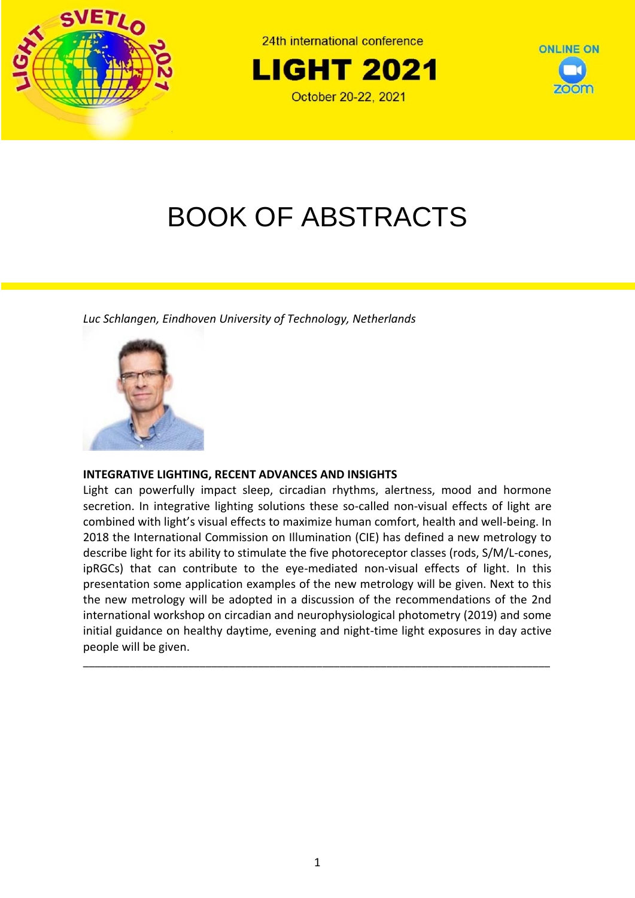

24th international conference





# BOOK OF ABSTRACTS

*Luc Schlangen, Eindhoven University of Technology, Netherlands*



# **INTEGRATIVE LIGHTING, RECENT ADVANCES AND INSIGHTS**

Light can powerfully impact sleep, circadian rhythms, alertness, mood and hormone secretion. In integrative lighting solutions these so-called non-visual effects of light are combined with light's visual effects to maximize human comfort, health and well-being. In 2018 the International Commission on Illumination (CIE) has defined a new metrology to describe light for its ability to stimulate the five photoreceptor classes (rods, S/M/L-cones, ipRGCs) that can contribute to the eye-mediated non-visual effects of light. In this presentation some application examples of the new metrology will be given. Next to this the new metrology will be adopted in a discussion of the recommendations of the 2nd international workshop on circadian and neurophysiological photometry (2019) and some initial guidance on healthy daytime, evening and night-time light exposures in day active people will be given.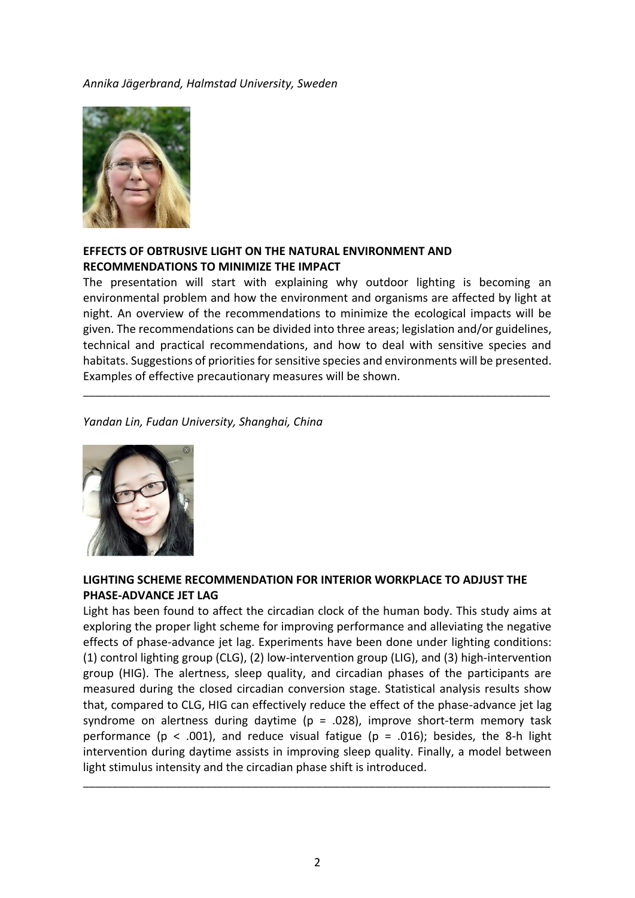#### *Annika Jägerbrand, Halmstad University, Sweden*



# **EFFECTS OF OBTRUSIVE LIGHT ON THE NATURAL ENVIRONMENT AND RECOMMENDATIONS TO MINIMIZE THE IMPACT**

The presentation will start with explaining why outdoor lighting is becoming an environmental problem and how the environment and organisms are affected by light at night. An overview of the recommendations to minimize the ecological impacts will be given. The recommendations can be divided into three areas; legislation and/or guidelines, technical and practical recommendations, and how to deal with sensitive species and habitats. Suggestions of priorities for sensitive species and environments will be presented. Examples of effective precautionary measures will be shown.

\_\_\_\_\_\_\_\_\_\_\_\_\_\_\_\_\_\_\_\_\_\_\_\_\_\_\_\_\_\_\_\_\_\_\_\_\_\_\_\_\_\_\_\_\_\_\_\_\_\_\_\_\_\_\_\_\_\_\_\_\_\_\_\_\_\_\_\_\_\_\_\_\_\_\_\_\_\_\_\_

#### *Yandan Lin, Fudan University, Shanghai, China*



# **LIGHTING SCHEME RECOMMENDATION FOR INTERIOR WORKPLACE TO ADJUST THE PHASE-ADVANCE JET LAG**

Light has been found to affect the circadian clock of the human body. This study aims at exploring the proper light scheme for improving performance and alleviating the negative effects of phase-advance jet lag. Experiments have been done under lighting conditions: (1) control lighting group (CLG), (2) low-intervention group (LIG), and (3) high-intervention group (HIG). The alertness, sleep quality, and circadian phases of the participants are measured during the closed circadian conversion stage. Statistical analysis results show that, compared to CLG, HIG can effectively reduce the effect of the phase-advance jet lag syndrome on alertness during daytime ( $p = .028$ ), improve short-term memory task performance (p < .001), and reduce visual fatigue (p = .016); besides, the 8-h light intervention during daytime assists in improving sleep quality. Finally, a model between light stimulus intensity and the circadian phase shift is introduced.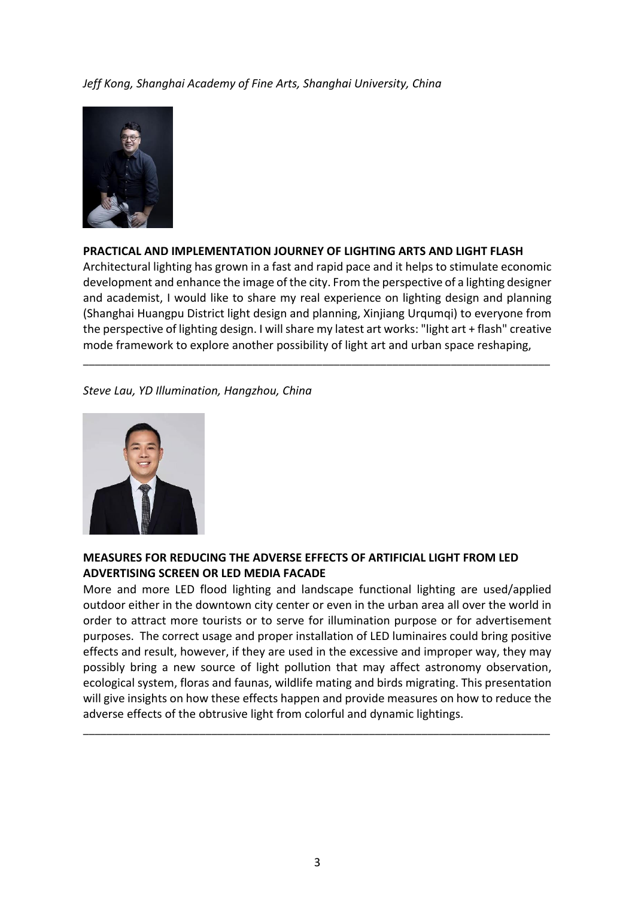#### *Jeff Kong, Shanghai Academy of Fine Arts, Shanghai University, China*



#### **PRACTICAL AND IMPLEMENTATION JOURNEY OF LIGHTING ARTS AND LIGHT FLASH**

Architectural lighting has grown in a fast and rapid pace and it helps to stimulate economic development and enhance the image of the city. From the perspective of a lighting designer and academist, I would like to share my real experience on lighting design and planning (Shanghai Huangpu District light design and planning, Xinjiang Urqumqi) to everyone from the perspective of lighting design. I will share my latest art works: "light art + flash" creative mode framework to explore another possibility of light art and urban space reshaping,

\_\_\_\_\_\_\_\_\_\_\_\_\_\_\_\_\_\_\_\_\_\_\_\_\_\_\_\_\_\_\_\_\_\_\_\_\_\_\_\_\_\_\_\_\_\_\_\_\_\_\_\_\_\_\_\_\_\_\_\_\_\_\_\_\_\_\_\_\_\_\_\_\_\_\_\_\_\_\_\_

#### *Steve Lau, YD Illumination, Hangzhou, China*



#### **MEASURES FOR REDUCING THE ADVERSE EFFECTS OF ARTIFICIAL LIGHT FROM LED ADVERTISING SCREEN OR LED MEDIA FACADE**

More and more LED flood lighting and landscape functional lighting are used/applied outdoor either in the downtown city center or even in the urban area all over the world in order to attract more tourists or to serve for illumination purpose or for advertisement purposes. The correct usage and proper installation of LED luminaires could bring positive effects and result, however, if they are used in the excessive and improper way, they may possibly bring a new source of light pollution that may affect astronomy observation, ecological system, floras and faunas, wildlife mating and birds migrating. This presentation will give insights on how these effects happen and provide measures on how to reduce the adverse effects of the obtrusive light from colorful and dynamic lightings.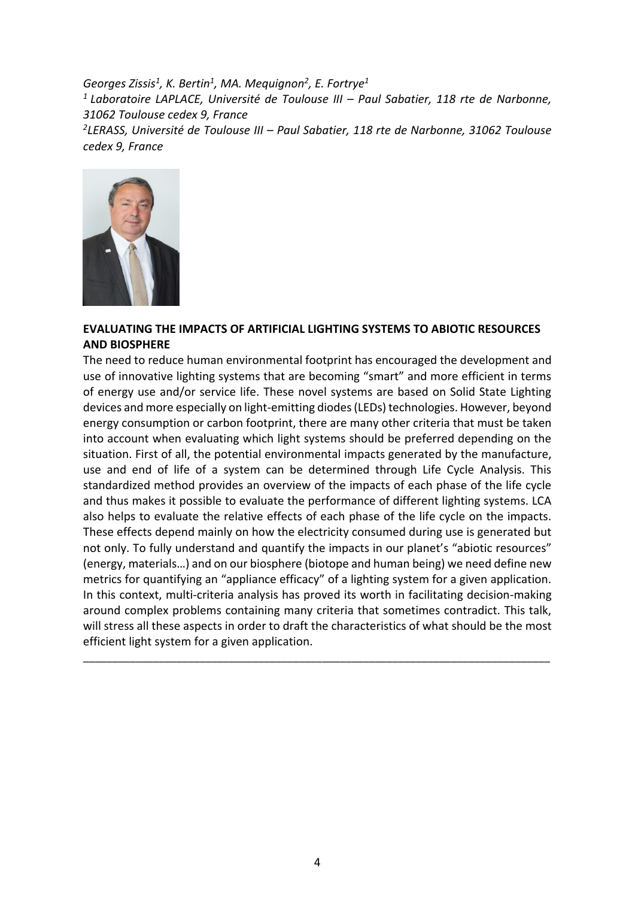*Georges Zissis<sup>1</sup> , K. Bertin<sup>1</sup> , MA. Mequignon<sup>2</sup> , E. Fortrye<sup>1</sup> <sup>1</sup>Laboratoire LAPLACE, Université de Toulouse III – Paul Sabatier, 118 rte de Narbonne, 31062 Toulouse cedex 9, France 2 LERASS, Université de Toulouse III – Paul Sabatier, 118 rte de Narbonne, 31062 Toulouse cedex 9, France*



#### **EVALUATING THE IMPACTS OF ARTIFICIAL LIGHTING SYSTEMS TO ABIOTIC RESOURCES AND BIOSPHERE**

The need to reduce human environmental footprint has encouraged the development and use of innovative lighting systems that are becoming "smart" and more efficient in terms of energy use and/or service life. These novel systems are based on Solid State Lighting devices and more especially on light-emitting diodes (LEDs) technologies. However, beyond energy consumption or carbon footprint, there are many other criteria that must be taken into account when evaluating which light systems should be preferred depending on the situation. First of all, the potential environmental impacts generated by the manufacture, use and end of life of a system can be determined through Life Cycle Analysis. This standardized method provides an overview of the impacts of each phase of the life cycle and thus makes it possible to evaluate the performance of different lighting systems. LCA also helps to evaluate the relative effects of each phase of the life cycle on the impacts. These effects depend mainly on how the electricity consumed during use is generated but not only. To fully understand and quantify the impacts in our planet's "abiotic resources" (energy, materials…) and on our biosphere (biotope and human being) we need define new metrics for quantifying an "appliance efficacy" of a lighting system for a given application. In this context, multi-criteria analysis has proved its worth in facilitating decision-making around complex problems containing many criteria that sometimes contradict. This talk, will stress all these aspects in order to draft the characteristics of what should be the most efficient light system for a given application.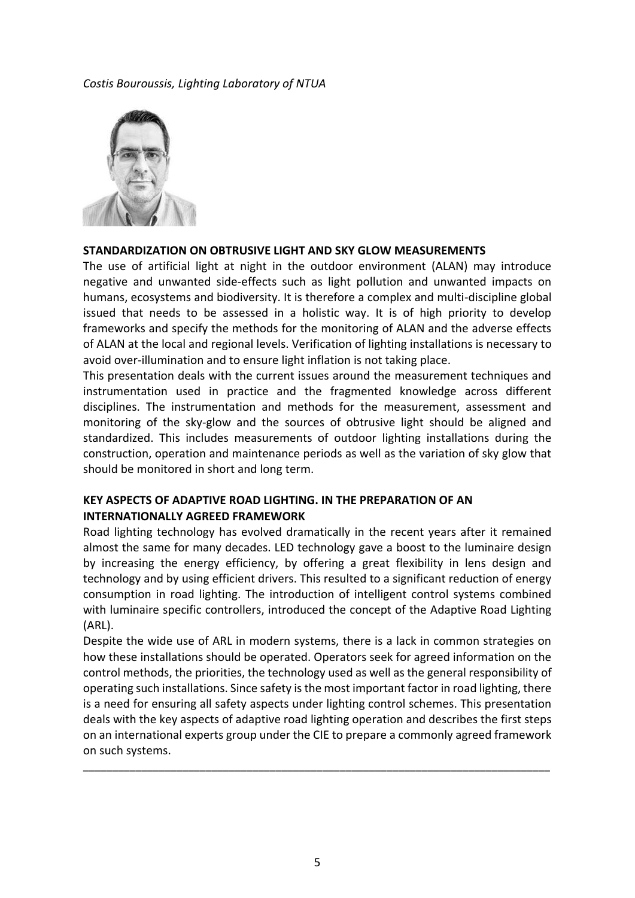#### *Costis Bouroussis, Lighting Laboratory of NTUA*



#### **STANDARDIZATION ON OBTRUSIVE LIGHT AND SKY GLOW MEASUREMENTS**

The use of artificial light at night in the outdoor environment (ALAN) may introduce negative and unwanted side-effects such as light pollution and unwanted impacts on humans, ecosystems and biodiversity. It is therefore a complex and multi-discipline global issued that needs to be assessed in a holistic way. It is of high priority to develop frameworks and specify the methods for the monitoring of ALAN and the adverse effects of ALAN at the local and regional levels. Verification of lighting installations is necessary to avoid over-illumination and to ensure light inflation is not taking place.

This presentation deals with the current issues around the measurement techniques and instrumentation used in practice and the fragmented knowledge across different disciplines. The instrumentation and methods for the measurement, assessment and monitoring of the sky-glow and the sources of obtrusive light should be aligned and standardized. This includes measurements of outdoor lighting installations during the construction, operation and maintenance periods as well as the variation of sky glow that should be monitored in short and long term.

# **KEY ASPECTS OF ADAPTIVE ROAD LIGHTING. IN THE PREPARATION OF AN INTERNATIONALLY AGREED FRAMEWORK**

Road lighting technology has evolved dramatically in the recent years after it remained almost the same for many decades. LED technology gave a boost to the luminaire design by increasing the energy efficiency, by offering a great flexibility in lens design and technology and by using efficient drivers. This resulted to a significant reduction of energy consumption in road lighting. The introduction of intelligent control systems combined with luminaire specific controllers, introduced the concept of the Adaptive Road Lighting (ARL).

Despite the wide use of ARL in modern systems, there is a lack in common strategies on how these installations should be operated. Operators seek for agreed information on the control methods, the priorities, the technology used as well as the general responsibility of operating such installations. Since safety is the most important factor in road lighting, there is a need for ensuring all safety aspects under lighting control schemes. This presentation deals with the key aspects of adaptive road lighting operation and describes the first steps on an international experts group under the CIE to prepare a commonly agreed framework on such systems.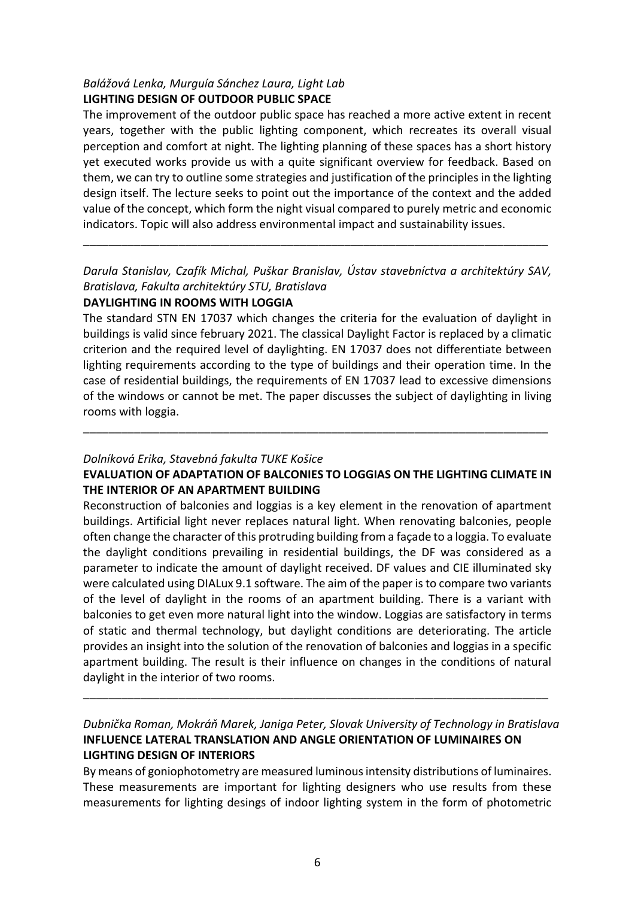# *Balážová Lenka, Murguía Sánchez Laura, Light Lab* **LIGHTING DESIGN OF OUTDOOR PUBLIC SPACE**

The improvement of the outdoor public space has reached a more active extent in recent years, together with the public lighting component, which recreates its overall visual perception and comfort at night. The lighting planning of these spaces has a short history yet executed works provide us with a quite significant overview for feedback. Based on them, we can try to outline some strategies and justification of the principles in the lighting design itself. The lecture seeks to point out the importance of the context and the added value of the concept, which form the night visual compared to purely metric and economic indicators. Topic will also address environmental impact and sustainability issues.

*Darula Stanislav, Czafík Michal, Puškar Branislav, Ústav stavebníctva a architektúry SAV, Bratislava, Fakulta architektúry STU, Bratislava*

\_\_\_\_\_\_\_\_\_\_\_\_\_\_\_\_\_\_\_\_\_\_\_\_\_\_\_\_\_\_\_\_\_\_\_\_\_\_\_\_\_\_\_\_\_\_\_\_\_\_\_\_\_\_\_\_\_\_\_\_\_\_\_\_\_\_\_\_\_\_\_\_\_

# **DAYLIGHTING IN ROOMS WITH LOGGIA**

The standard STN EN 17037 which changes the criteria for the evaluation of daylight in buildings is valid since february 2021. The classical Daylight Factor is replaced by a climatic criterion and the required level of daylighting. EN 17037 does not differentiate between lighting requirements according to the type of buildings and their operation time. In the case of residential buildings, the requirements of EN 17037 lead to excessive dimensions of the windows or cannot be met. The paper discusses the subject of daylighting in living rooms with loggia.

# *Dolníková Erika, Stavebná fakulta TUKE Košice*

# **EVALUATION OF ADAPTATION OF BALCONIES TO LOGGIAS ON THE LIGHTING CLIMATE IN THE INTERIOR OF AN APARTMENT BUILDING**

\_\_\_\_\_\_\_\_\_\_\_\_\_\_\_\_\_\_\_\_\_\_\_\_\_\_\_\_\_\_\_\_\_\_\_\_\_\_\_\_\_\_\_\_\_\_\_\_\_\_\_\_\_\_\_\_\_\_\_\_\_\_\_\_\_\_\_\_\_\_\_\_\_

Reconstruction of balconies and loggias is a key element in the renovation of apartment buildings. Artificial light never replaces natural light. When renovating balconies, people often change the character of this protruding building from a façade to a loggia. To evaluate the daylight conditions prevailing in residential buildings, the DF was considered as a parameter to indicate the amount of daylight received. DF values and CIE illuminated sky were calculated using DIALux 9.1 software. The aim of the paper is to compare two variants of the level of daylight in the rooms of an apartment building. There is a variant with balconies to get even more natural light into the window. Loggias are satisfactory in terms of static and thermal technology, but daylight conditions are deteriorating. The article provides an insight into the solution of the renovation of balconies and loggias in a specific apartment building. The result is their influence on changes in the conditions of natural daylight in the interior of two rooms.

# *Dubnička Roman, Mokráň Marek, Janiga Peter, Slovak University of Technology in Bratislava* **INFLUENCE LATERAL TRANSLATION AND ANGLE ORIENTATION OF LUMINAIRES ON LIGHTING DESIGN OF INTERIORS**

\_\_\_\_\_\_\_\_\_\_\_\_\_\_\_\_\_\_\_\_\_\_\_\_\_\_\_\_\_\_\_\_\_\_\_\_\_\_\_\_\_\_\_\_\_\_\_\_\_\_\_\_\_\_\_\_\_\_\_\_\_\_\_\_\_\_\_\_\_\_\_\_\_

By means of goniophotometry are measured luminous intensity distributions of luminaires. These measurements are important for lighting designers who use results from these measurements for lighting desings of indoor lighting system in the form of photometric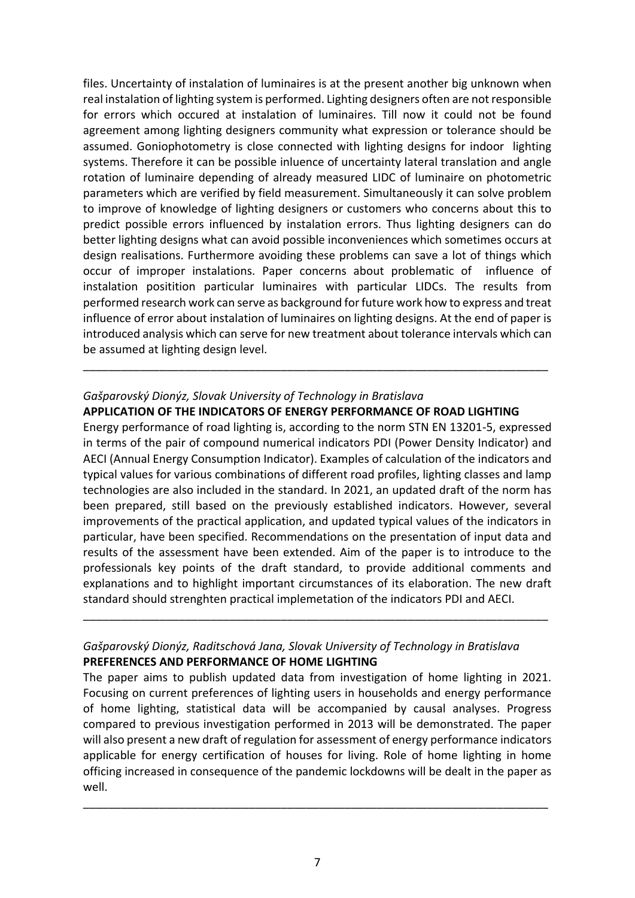files. Uncertainty of instalation of luminaires is at the present another big unknown when real instalation of lighting system is performed. Lighting designers often are not responsible for errors which occured at instalation of luminaires. Till now it could not be found agreement among lighting designers community what expression or tolerance should be assumed. Goniophotometry is close connected with lighting designs for indoor lighting systems. Therefore it can be possible inluence of uncertainty lateral translation and angle rotation of luminaire depending of already measured LIDC of luminaire on photometric parameters which are verified by field measurement. Simultaneously it can solve problem to improve of knowledge of lighting designers or customers who concerns about this to predict possible errors influenced by instalation errors. Thus lighting designers can do better lighting designs what can avoid possible inconveniences which sometimes occurs at design realisations. Furthermore avoiding these problems can save a lot of things which occur of improper instalations. Paper concerns about problematic of influence of instalation positition particular luminaires with particular LIDCs. The results from performed research work can serve as background for future work how to express and treat influence of error about instalation of luminaires on lighting designs. At the end of paper is introduced analysis which can serve for new treatment about tolerance intervals which can be assumed at lighting design level.

# *Gašparovský Dionýz, Slovak University of Technology in Bratislava* **APPLICATION OF THE INDICATORS OF ENERGY PERFORMANCE OF ROAD LIGHTING**

\_\_\_\_\_\_\_\_\_\_\_\_\_\_\_\_\_\_\_\_\_\_\_\_\_\_\_\_\_\_\_\_\_\_\_\_\_\_\_\_\_\_\_\_\_\_\_\_\_\_\_\_\_\_\_\_\_\_\_\_\_\_\_\_\_\_\_\_\_\_\_\_\_

Energy performance of road lighting is, according to the norm STN EN 13201-5, expressed in terms of the pair of compound numerical indicators PDI (Power Density Indicator) and AECI (Annual Energy Consumption Indicator). Examples of calculation of the indicators and typical values for various combinations of different road profiles, lighting classes and lamp technologies are also included in the standard. In 2021, an updated draft of the norm has been prepared, still based on the previously established indicators. However, several improvements of the practical application, and updated typical values of the indicators in particular, have been specified. Recommendations on the presentation of input data and results of the assessment have been extended. Aim of the paper is to introduce to the professionals key points of the draft standard, to provide additional comments and explanations and to highlight important circumstances of its elaboration. The new draft standard should strenghten practical implemetation of the indicators PDI and AECI.

# *Gašparovský Dionýz, Raditschová Jana, Slovak University of Technology in Bratislava* **PREFERENCES AND PERFORMANCE OF HOME LIGHTING**

\_\_\_\_\_\_\_\_\_\_\_\_\_\_\_\_\_\_\_\_\_\_\_\_\_\_\_\_\_\_\_\_\_\_\_\_\_\_\_\_\_\_\_\_\_\_\_\_\_\_\_\_\_\_\_\_\_\_\_\_\_\_\_\_\_\_\_\_\_\_\_\_\_

The paper aims to publish updated data from investigation of home lighting in 2021. Focusing on current preferences of lighting users in households and energy performance of home lighting, statistical data will be accompanied by causal analyses. Progress compared to previous investigation performed in 2013 will be demonstrated. The paper will also present a new draft of regulation for assessment of energy performance indicators applicable for energy certification of houses for living. Role of home lighting in home officing increased in consequence of the pandemic lockdowns will be dealt in the paper as well.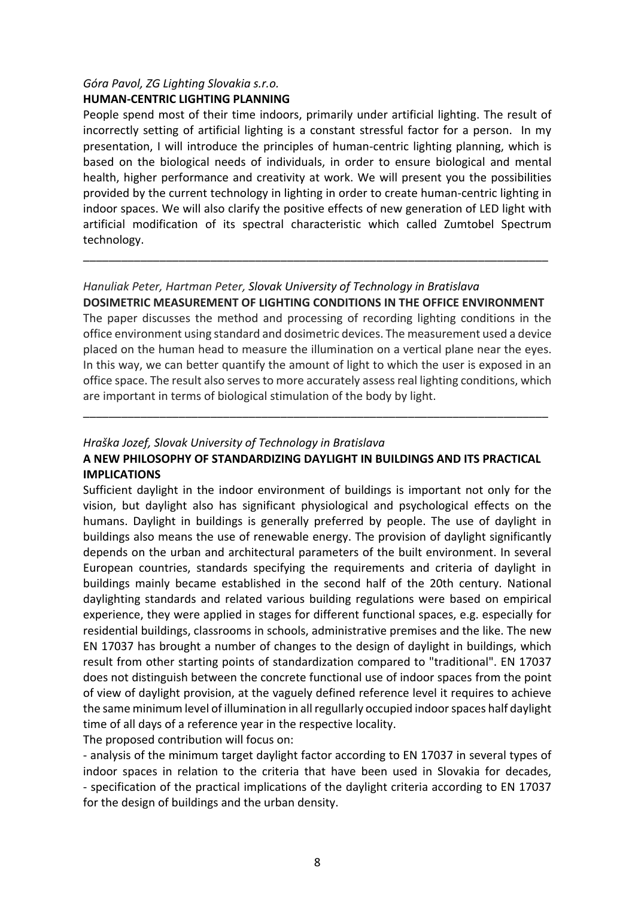# *Góra Pavol, ZG Lighting Slovakia s.r.o.* **HUMAN-CENTRIC LIGHTING PLANNING**

People spend most of their time indoors, primarily under artificial lighting. The result of incorrectly setting of artificial lighting is a constant stressful factor for a person. In my presentation, I will introduce the principles of human-centric lighting planning, which is based on the biological needs of individuals, in order to ensure biological and mental health, higher performance and creativity at work. We will present you the possibilities provided by the current technology in lighting in order to create human-centric lighting in indoor spaces. We will also clarify the positive effects of new generation of LED light with artificial modification of its spectral characteristic which called Zumtobel Spectrum technology.

# *Hanuliak Peter, Hartman Peter, Slovak University of Technology in Bratislava* **DOSIMETRIC MEASUREMENT OF LIGHTING CONDITIONS IN THE OFFICE ENVIRONMENT**

\_\_\_\_\_\_\_\_\_\_\_\_\_\_\_\_\_\_\_\_\_\_\_\_\_\_\_\_\_\_\_\_\_\_\_\_\_\_\_\_\_\_\_\_\_\_\_\_\_\_\_\_\_\_\_\_\_\_\_\_\_\_\_\_\_\_\_\_\_\_\_\_\_

The paper discusses the method and processing of recording lighting conditions in the office environment using standard and dosimetric devices. The measurement used a device placed on the human head to measure the illumination on a vertical plane near the eyes. In this way, we can better quantify the amount of light to which the user is exposed in an office space. The result also serves to more accurately assess real lighting conditions, which are important in terms of biological stimulation of the body by light.

# *Hraška Jozef, Slovak University of Technology in Bratislava* **A NEW PHILOSOPHY OF STANDARDIZING DAYLIGHT IN BUILDINGS AND ITS PRACTICAL IMPLICATIONS**

\_\_\_\_\_\_\_\_\_\_\_\_\_\_\_\_\_\_\_\_\_\_\_\_\_\_\_\_\_\_\_\_\_\_\_\_\_\_\_\_\_\_\_\_\_\_\_\_\_\_\_\_\_\_\_\_\_\_\_\_\_\_\_\_\_\_\_\_\_\_\_\_\_

Sufficient daylight in the indoor environment of buildings is important not only for the vision, but daylight also has significant physiological and psychological effects on the humans. Daylight in buildings is generally preferred by people. The use of daylight in buildings also means the use of renewable energy. The provision of daylight significantly depends on the urban and architectural parameters of the built environment. In several European countries, standards specifying the requirements and criteria of daylight in buildings mainly became established in the second half of the 20th century. National daylighting standards and related various building regulations were based on empirical experience, they were applied in stages for different functional spaces, e.g. especially for residential buildings, classrooms in schools, administrative premises and the like. The new EN 17037 has brought a number of changes to the design of daylight in buildings, which result from other starting points of standardization compared to "traditional". EN 17037 does not distinguish between the concrete functional use of indoor spaces from the point of view of daylight provision, at the vaguely defined reference level it requires to achieve the same minimum level of illumination in all regullarly occupied indoor spaces half daylight time of all days of a reference year in the respective locality.

The proposed contribution will focus on:

- analysis of the minimum target daylight factor according to EN 17037 in several types of indoor spaces in relation to the criteria that have been used in Slovakia for decades, - specification of the practical implications of the daylight criteria according to EN 17037 for the design of buildings and the urban density.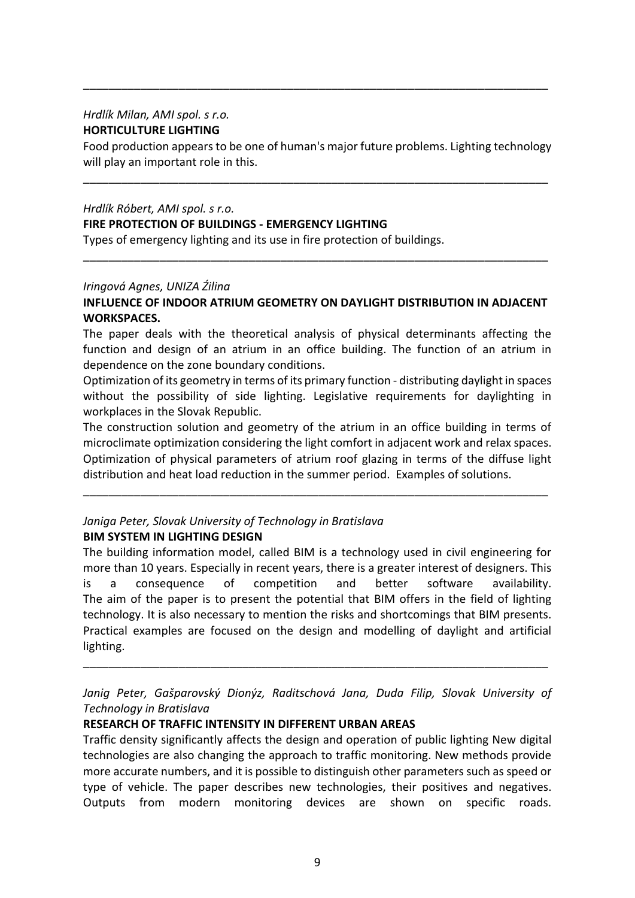#### *Hrdlík Milan, AMI spol. s r.o.* **HORTICULTURE LIGHTING**

Food production appears to be one of human's major future problems. Lighting technology will play an important role in this.

\_\_\_\_\_\_\_\_\_\_\_\_\_\_\_\_\_\_\_\_\_\_\_\_\_\_\_\_\_\_\_\_\_\_\_\_\_\_\_\_\_\_\_\_\_\_\_\_\_\_\_\_\_\_\_\_\_\_\_\_\_\_\_\_\_\_\_\_\_\_\_\_\_

\_\_\_\_\_\_\_\_\_\_\_\_\_\_\_\_\_\_\_\_\_\_\_\_\_\_\_\_\_\_\_\_\_\_\_\_\_\_\_\_\_\_\_\_\_\_\_\_\_\_\_\_\_\_\_\_\_\_\_\_\_\_\_\_\_\_\_\_\_\_\_\_\_

# *Hrdlík Róbert, AMI spol. s r.o.*

#### **FIRE PROTECTION OF BUILDINGS - EMERGENCY LIGHTING**

Types of emergency lighting and its use in fire protection of buildings.

#### *Iringová Agnes, UNIZA Źilina*

# **INFLUENCE OF INDOOR ATRIUM GEOMETRY ON DAYLIGHT DISTRIBUTION IN ADJACENT WORKSPACES.**

\_\_\_\_\_\_\_\_\_\_\_\_\_\_\_\_\_\_\_\_\_\_\_\_\_\_\_\_\_\_\_\_\_\_\_\_\_\_\_\_\_\_\_\_\_\_\_\_\_\_\_\_\_\_\_\_\_\_\_\_\_\_\_\_\_\_\_\_\_\_\_\_\_

The paper deals with the theoretical analysis of physical determinants affecting the function and design of an atrium in an office building. The function of an atrium in dependence on the zone boundary conditions.

Optimization of its geometry in terms of its primary function - distributing daylight in spaces without the possibility of side lighting. Legislative requirements for daylighting in workplaces in the Slovak Republic.

The construction solution and geometry of the atrium in an office building in terms of microclimate optimization considering the light comfort in adjacent work and relax spaces. Optimization of physical parameters of atrium roof glazing in terms of the diffuse light distribution and heat load reduction in the summer period. Examples of solutions.

\_\_\_\_\_\_\_\_\_\_\_\_\_\_\_\_\_\_\_\_\_\_\_\_\_\_\_\_\_\_\_\_\_\_\_\_\_\_\_\_\_\_\_\_\_\_\_\_\_\_\_\_\_\_\_\_\_\_\_\_\_\_\_\_\_\_\_\_\_\_\_\_\_

#### *Janiga Peter, Slovak University of Technology in Bratislava* **BIM SYSTEM IN LIGHTING DESIGN**

The building information model, called BIM is a technology used in civil engineering for more than 10 years. Especially in recent years, there is a greater interest of designers. This is a consequence of competition and better software availability. The aim of the paper is to present the potential that BIM offers in the field of lighting technology. It is also necessary to mention the risks and shortcomings that BIM presents. Practical examples are focused on the design and modelling of daylight and artificial lighting.

*Janig Peter, Gašparovský Dionýz, Raditschová Jana, Duda Filip, Slovak University of Technology in Bratislava*

\_\_\_\_\_\_\_\_\_\_\_\_\_\_\_\_\_\_\_\_\_\_\_\_\_\_\_\_\_\_\_\_\_\_\_\_\_\_\_\_\_\_\_\_\_\_\_\_\_\_\_\_\_\_\_\_\_\_\_\_\_\_\_\_\_\_\_\_\_\_\_\_\_

# **RESEARCH OF TRAFFIC INTENSITY IN DIFFERENT URBAN AREAS**

Traffic density significantly affects the design and operation of public lighting New digital technologies are also changing the approach to traffic monitoring. New methods provide more accurate numbers, and it is possible to distinguish other parameters such as speed or type of vehicle. The paper describes new technologies, their positives and negatives. Outputs from modern monitoring devices are shown on specific roads.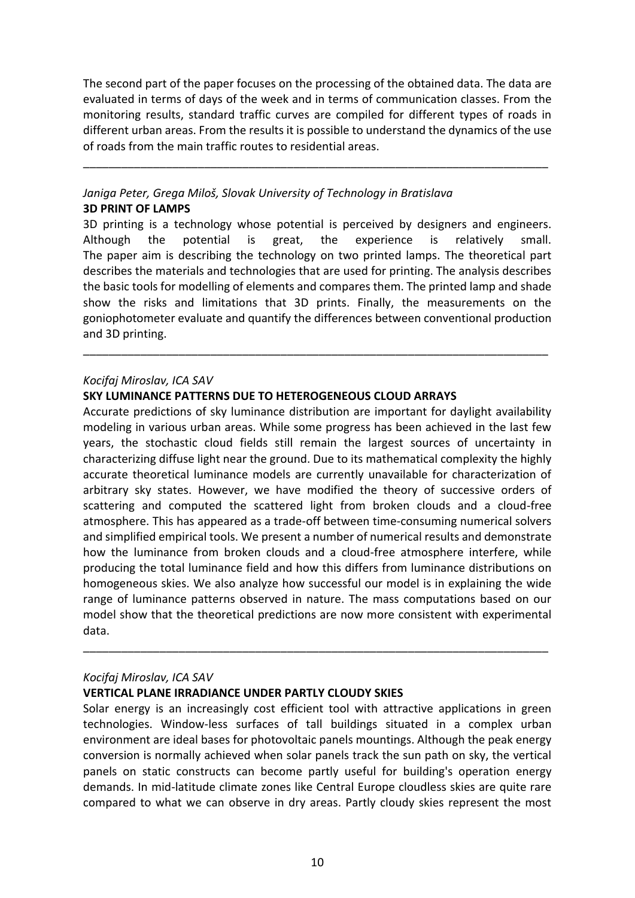The second part of the paper focuses on the processing of the obtained data. The data are evaluated in terms of days of the week and in terms of communication classes. From the monitoring results, standard traffic curves are compiled for different types of roads in different urban areas. From the results it is possible to understand the dynamics of the use of roads from the main traffic routes to residential areas.

\_\_\_\_\_\_\_\_\_\_\_\_\_\_\_\_\_\_\_\_\_\_\_\_\_\_\_\_\_\_\_\_\_\_\_\_\_\_\_\_\_\_\_\_\_\_\_\_\_\_\_\_\_\_\_\_\_\_\_\_\_\_\_\_\_\_\_\_\_\_\_\_\_

# *Janiga Peter, Grega Miloš, Slovak University of Technology in Bratislava* **3D PRINT OF LAMPS**

3D printing is a technology whose potential is perceived by designers and engineers. Although the potential is great, the experience is relatively small. The paper aim is describing the technology on two printed lamps. The theoretical part describes the materials and technologies that are used for printing. The analysis describes the basic tools for modelling of elements and compares them. The printed lamp and shade show the risks and limitations that 3D prints. Finally, the measurements on the goniophotometer evaluate and quantify the differences between conventional production and 3D printing.

\_\_\_\_\_\_\_\_\_\_\_\_\_\_\_\_\_\_\_\_\_\_\_\_\_\_\_\_\_\_\_\_\_\_\_\_\_\_\_\_\_\_\_\_\_\_\_\_\_\_\_\_\_\_\_\_\_\_\_\_\_\_\_\_\_\_\_\_\_\_\_\_\_

#### *Kocifaj Miroslav, ICA SAV*

#### **SKY LUMINANCE PATTERNS DUE TO HETEROGENEOUS CLOUD ARRAYS**

Accurate predictions of sky luminance distribution are important for daylight availability modeling in various urban areas. While some progress has been achieved in the last few years, the stochastic cloud fields still remain the largest sources of uncertainty in characterizing diffuse light near the ground. Due to its mathematical complexity the highly accurate theoretical luminance models are currently unavailable for characterization of arbitrary sky states. However, we have modified the theory of successive orders of scattering and computed the scattered light from broken clouds and a cloud-free atmosphere. This has appeared as a trade-off between time-consuming numerical solvers and simplified empirical tools. We present a number of numerical results and demonstrate how the luminance from broken clouds and a cloud-free atmosphere interfere, while producing the total luminance field and how this differs from luminance distributions on homogeneous skies. We also analyze how successful our model is in explaining the wide range of luminance patterns observed in nature. The mass computations based on our model show that the theoretical predictions are now more consistent with experimental data.

#### *Kocifaj Miroslav, ICA SAV*

#### **VERTICAL PLANE IRRADIANCE UNDER PARTLY CLOUDY SKIES**

Solar energy is an increasingly cost efficient tool with attractive applications in green technologies. Window-less surfaces of tall buildings situated in a complex urban environment are ideal bases for photovoltaic panels mountings. Although the peak energy conversion is normally achieved when solar panels track the sun path on sky, the vertical panels on static constructs can become partly useful for building's operation energy demands. In mid-latitude climate zones like Central Europe cloudless skies are quite rare compared to what we can observe in dry areas. Partly cloudy skies represent the most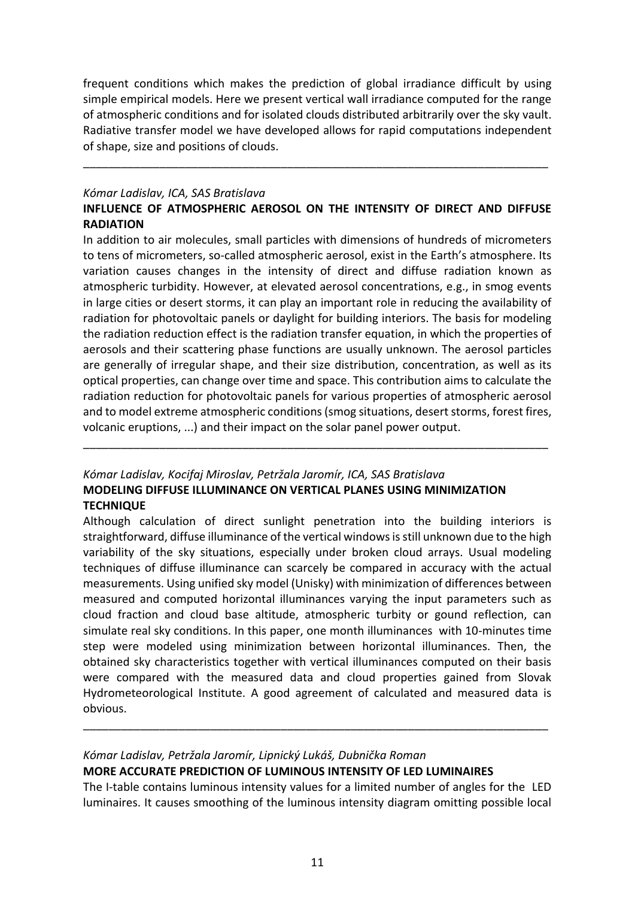frequent conditions which makes the prediction of global irradiance difficult by using simple empirical models. Here we present vertical wall irradiance computed for the range of atmospheric conditions and for isolated clouds distributed arbitrarily over the sky vault. Radiative transfer model we have developed allows for rapid computations independent of shape, size and positions of clouds.

\_\_\_\_\_\_\_\_\_\_\_\_\_\_\_\_\_\_\_\_\_\_\_\_\_\_\_\_\_\_\_\_\_\_\_\_\_\_\_\_\_\_\_\_\_\_\_\_\_\_\_\_\_\_\_\_\_\_\_\_\_\_\_\_\_\_\_\_\_\_\_\_\_

#### *Kómar Ladislav, ICA, SAS Bratislava*

# **INFLUENCE OF ATMOSPHERIC AEROSOL ON THE INTENSITY OF DIRECT AND DIFFUSE RADIATION**

In addition to air molecules, small particles with dimensions of hundreds of micrometers to tens of micrometers, so-called atmospheric aerosol, exist in the Earth's atmosphere. Its variation causes changes in the intensity of direct and diffuse radiation known as atmospheric turbidity. However, at elevated aerosol concentrations, e.g., in smog events in large cities or desert storms, it can play an important role in reducing the availability of radiation for photovoltaic panels or daylight for building interiors. The basis for modeling the radiation reduction effect is the radiation transfer equation, in which the properties of aerosols and their scattering phase functions are usually unknown. The aerosol particles are generally of irregular shape, and their size distribution, concentration, as well as its optical properties, can change over time and space. This contribution aims to calculate the radiation reduction for photovoltaic panels for various properties of atmospheric aerosol and to model extreme atmospheric conditions (smog situations, desert storms, forest fires, volcanic eruptions, ...) and their impact on the solar panel power output.

\_\_\_\_\_\_\_\_\_\_\_\_\_\_\_\_\_\_\_\_\_\_\_\_\_\_\_\_\_\_\_\_\_\_\_\_\_\_\_\_\_\_\_\_\_\_\_\_\_\_\_\_\_\_\_\_\_\_\_\_\_\_\_\_\_\_\_\_\_\_\_\_\_

# *Kómar Ladislav, Kocifaj Miroslav, Petržala Jaromír, ICA, SAS Bratislava* **MODELING DIFFUSE ILLUMINANCE ON VERTICAL PLANES USING MINIMIZATION TECHNIQUE**

Although calculation of direct sunlight penetration into the building interiors is straightforward, diffuse illuminance of the vertical windows is still unknown due to the high variability of the sky situations, especially under broken cloud arrays. Usual modeling techniques of diffuse illuminance can scarcely be compared in accuracy with the actual measurements. Using unified sky model (Unisky) with minimization of differences between measured and computed horizontal illuminances varying the input parameters such as cloud fraction and cloud base altitude, atmospheric turbity or gound reflection, can simulate real sky conditions. In this paper, one month illuminances with 10-minutes time step were modeled using minimization between horizontal illuminances. Then, the obtained sky characteristics together with vertical illuminances computed on their basis were compared with the measured data and cloud properties gained from Slovak Hydrometeorological Institute. A good agreement of calculated and measured data is obvious.

# *Kómar Ladislav, Petržala Jaromír, Lipnický Lukáš, Dubnička Roman*

# **MORE ACCURATE PREDICTION OF LUMINOUS INTENSITY OF LED LUMINAIRES**

The I-table contains luminous intensity values for a limited number of angles for the LED luminaires. It causes smoothing of the luminous intensity diagram omitting possible local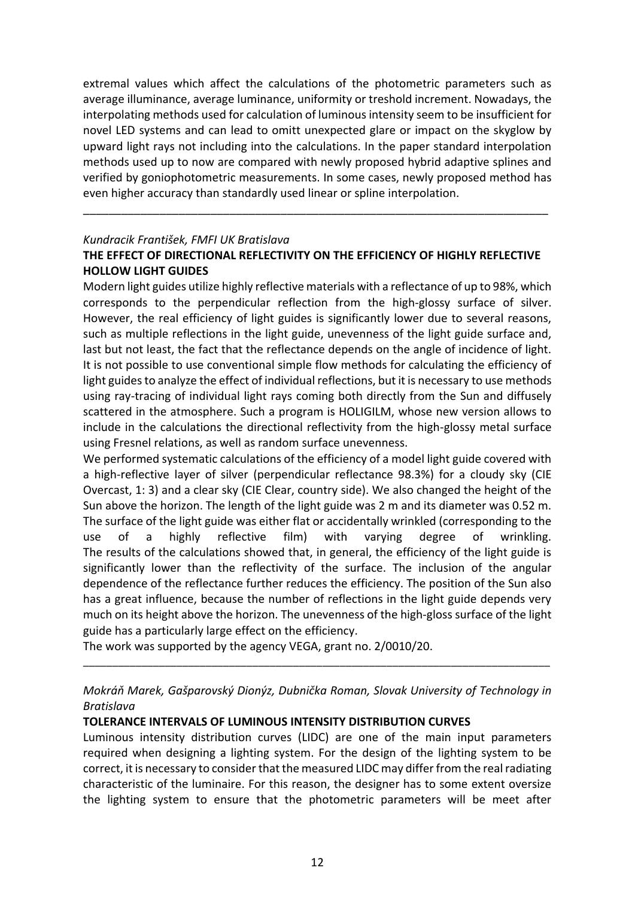extremal values which affect the calculations of the photometric parameters such as average illuminance, average luminance, uniformity or treshold increment. Nowadays, the interpolating methods used for calculation of luminous intensity seem to be insufficient for novel LED systems and can lead to omitt unexpected glare or impact on the skyglow by upward light rays not including into the calculations. In the paper standard interpolation methods used up to now are compared with newly proposed hybrid adaptive splines and verified by goniophotometric measurements. In some cases, newly proposed method has even higher accuracy than standardly used linear or spline interpolation.

#### *Kundracik František, FMFI UK Bratislava*

### **THE EFFECT OF DIRECTIONAL REFLECTIVITY ON THE EFFICIENCY OF HIGHLY REFLECTIVE HOLLOW LIGHT GUIDES**

\_\_\_\_\_\_\_\_\_\_\_\_\_\_\_\_\_\_\_\_\_\_\_\_\_\_\_\_\_\_\_\_\_\_\_\_\_\_\_\_\_\_\_\_\_\_\_\_\_\_\_\_\_\_\_\_\_\_\_\_\_\_\_\_\_\_\_\_\_\_\_\_\_

Modern light guides utilize highly reflective materials with a reflectance of up to 98%, which corresponds to the perpendicular reflection from the high-glossy surface of silver. However, the real efficiency of light guides is significantly lower due to several reasons, such as multiple reflections in the light guide, unevenness of the light guide surface and, last but not least, the fact that the reflectance depends on the angle of incidence of light. It is not possible to use conventional simple flow methods for calculating the efficiency of light guides to analyze the effect of individual reflections, but it is necessary to use methods using ray-tracing of individual light rays coming both directly from the Sun and diffusely scattered in the atmosphere. Such a program is HOLIGILM, whose new version allows to include in the calculations the directional reflectivity from the high-glossy metal surface using Fresnel relations, as well as random surface unevenness.

We performed systematic calculations of the efficiency of a model light guide covered with a high-reflective layer of silver (perpendicular reflectance 98.3%) for a cloudy sky (CIE Overcast, 1: 3) and a clear sky (CIE Clear, country side). We also changed the height of the Sun above the horizon. The length of the light guide was 2 m and its diameter was 0.52 m. The surface of the light guide was either flat or accidentally wrinkled (corresponding to the use of a highly reflective film) with varying degree of wrinkling. The results of the calculations showed that, in general, the efficiency of the light guide is significantly lower than the reflectivity of the surface. The inclusion of the angular dependence of the reflectance further reduces the efficiency. The position of the Sun also has a great influence, because the number of reflections in the light guide depends very much on its height above the horizon. The unevenness of the high-gloss surface of the light guide has a particularly large effect on the efficiency.

The work was supported by the agency VEGA, grant no. 2/0010/20.

*Mokráň Marek, Gašparovský Dionýz, Dubnička Roman, Slovak University of Technology in Bratislava*

\_\_\_\_\_\_\_\_\_\_\_\_\_\_\_\_\_\_\_\_\_\_\_\_\_\_\_\_\_\_\_\_\_\_\_\_\_\_\_\_\_\_\_\_\_\_\_\_\_\_\_\_\_\_\_\_\_\_\_\_\_\_\_\_\_\_\_\_\_\_\_\_\_\_\_\_\_\_\_\_

# **TOLERANCE INTERVALS OF LUMINOUS INTENSITY DISTRIBUTION CURVES**

Luminous intensity distribution curves (LIDC) are one of the main input parameters required when designing a lighting system. For the design of the lighting system to be correct, it is necessary to consider that the measured LIDC may differ from the real radiating characteristic of the luminaire. For this reason, the designer has to some extent oversize the lighting system to ensure that the photometric parameters will be meet after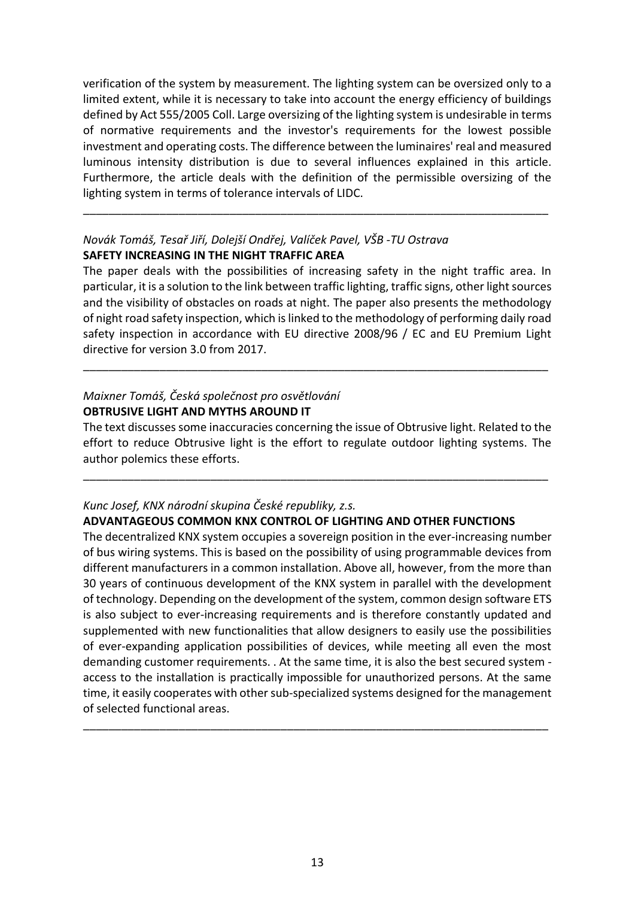verification of the system by measurement. The lighting system can be oversized only to a limited extent, while it is necessary to take into account the energy efficiency of buildings defined by Act 555/2005 Coll. Large oversizing of the lighting system is undesirable in terms of normative requirements and the investor's requirements for the lowest possible investment and operating costs. The difference between the luminaires' real and measured luminous intensity distribution is due to several influences explained in this article. Furthermore, the article deals with the definition of the permissible oversizing of the lighting system in terms of tolerance intervals of LIDC.

\_\_\_\_\_\_\_\_\_\_\_\_\_\_\_\_\_\_\_\_\_\_\_\_\_\_\_\_\_\_\_\_\_\_\_\_\_\_\_\_\_\_\_\_\_\_\_\_\_\_\_\_\_\_\_\_\_\_\_\_\_\_\_\_\_\_\_\_\_\_\_\_\_

# *Novák Tomáš, Tesař Jiří, Dolejší Ondřej, Valíček Pavel, VŠB -TU Ostrava*

#### **SAFETY INCREASING IN THE NIGHT TRAFFIC AREA**

The paper deals with the possibilities of increasing safety in the night traffic area. In particular, it is a solution to the link between traffic lighting, traffic signs, other light sources and the visibility of obstacles on roads at night. The paper also presents the methodology of night road safety inspection, which is linked to the methodology of performing daily road safety inspection in accordance with EU directive 2008/96 / EC and EU Premium Light directive for version 3.0 from 2017.

\_\_\_\_\_\_\_\_\_\_\_\_\_\_\_\_\_\_\_\_\_\_\_\_\_\_\_\_\_\_\_\_\_\_\_\_\_\_\_\_\_\_\_\_\_\_\_\_\_\_\_\_\_\_\_\_\_\_\_\_\_\_\_\_\_\_\_\_\_\_\_\_\_

# *Maixner Tomáš, Česká společnost pro osvětlování* **OBTRUSIVE LIGHT AND MYTHS AROUND IT**

The text discusses some inaccuracies concerning the issue of Obtrusive light. Related to the effort to reduce Obtrusive light is the effort to regulate outdoor lighting systems. The author polemics these efforts.

\_\_\_\_\_\_\_\_\_\_\_\_\_\_\_\_\_\_\_\_\_\_\_\_\_\_\_\_\_\_\_\_\_\_\_\_\_\_\_\_\_\_\_\_\_\_\_\_\_\_\_\_\_\_\_\_\_\_\_\_\_\_\_\_\_\_\_\_\_\_\_\_\_

# *Kunc Josef, KNX národní skupina České republiky, z.s.*

#### **ADVANTAGEOUS COMMON KNX CONTROL OF LIGHTING AND OTHER FUNCTIONS**

The decentralized KNX system occupies a sovereign position in the ever-increasing number of bus wiring systems. This is based on the possibility of using programmable devices from different manufacturers in a common installation. Above all, however, from the more than 30 years of continuous development of the KNX system in parallel with the development of technology. Depending on the development of the system, common design software ETS is also subject to ever-increasing requirements and is therefore constantly updated and supplemented with new functionalities that allow designers to easily use the possibilities of ever-expanding application possibilities of devices, while meeting all even the most demanding customer requirements. . At the same time, it is also the best secured system access to the installation is practically impossible for unauthorized persons. At the same time, it easily cooperates with other sub-specialized systems designed for the management of selected functional areas.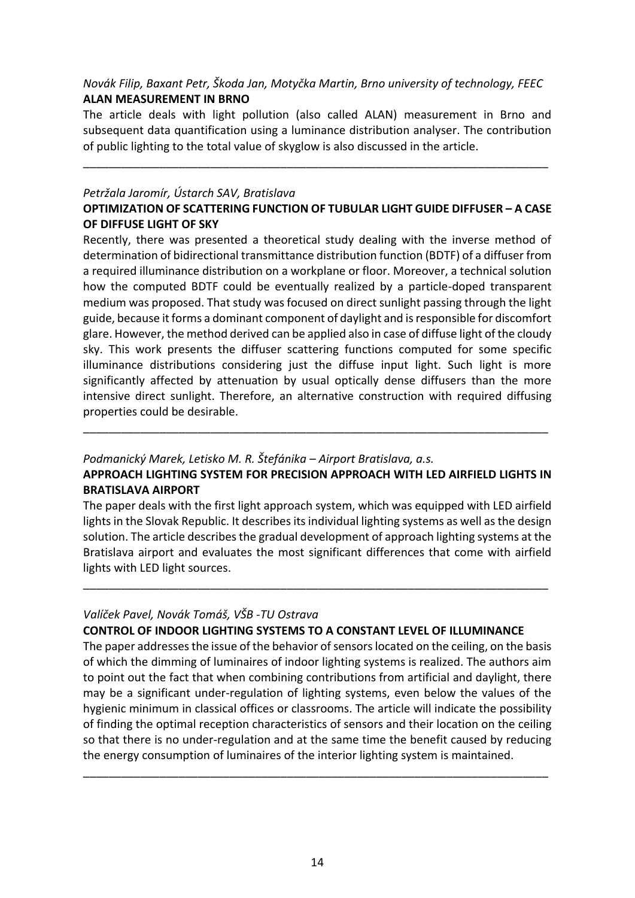# *Novák Filip, Baxant Petr, Škoda Jan, Motyčka Martin, Brno university of technology, FEEC* **ALAN MEASUREMENT IN BRNO**

The article deals with light pollution (also called ALAN) measurement in Brno and subsequent data quantification using a luminance distribution analyser. The contribution of public lighting to the total value of skyglow is also discussed in the article.

\_\_\_\_\_\_\_\_\_\_\_\_\_\_\_\_\_\_\_\_\_\_\_\_\_\_\_\_\_\_\_\_\_\_\_\_\_\_\_\_\_\_\_\_\_\_\_\_\_\_\_\_\_\_\_\_\_\_\_\_\_\_\_\_\_\_\_\_\_\_\_\_\_

#### *Petržala Jaromír, Ústarch SAV, Bratislava*

# **OPTIMIZATION OF SCATTERING FUNCTION OF TUBULAR LIGHT GUIDE DIFFUSER – A CASE OF DIFFUSE LIGHT OF SKY**

Recently, there was presented a theoretical study dealing with the inverse method of determination of bidirectional transmittance distribution function (BDTF) of a diffuser from a required illuminance distribution on a workplane or floor. Moreover, a technical solution how the computed BDTF could be eventually realized by a particle-doped transparent medium was proposed. That study was focused on direct sunlight passing through the light guide, because it forms a dominant component of daylight and is responsible for discomfort glare. However, the method derived can be applied also in case of diffuse light of the cloudy sky. This work presents the diffuser scattering functions computed for some specific illuminance distributions considering just the diffuse input light. Such light is more significantly affected by attenuation by usual optically dense diffusers than the more intensive direct sunlight. Therefore, an alternative construction with required diffusing properties could be desirable.

# *Podmanický Marek, Letisko M. R. Štefánika – Airport Bratislava, a.s.*

# **APPROACH LIGHTING SYSTEM FOR PRECISION APPROACH WITH LED AIRFIELD LIGHTS IN BRATISLAVA AIRPORT**

\_\_\_\_\_\_\_\_\_\_\_\_\_\_\_\_\_\_\_\_\_\_\_\_\_\_\_\_\_\_\_\_\_\_\_\_\_\_\_\_\_\_\_\_\_\_\_\_\_\_\_\_\_\_\_\_\_\_\_\_\_\_\_\_\_\_\_\_\_\_\_\_\_

The paper deals with the first light approach system, which was equipped with LED airfield lights in the Slovak Republic. It describes its individual lighting systems as well as the design solution. The article describes the gradual development of approach lighting systems at the Bratislava airport and evaluates the most significant differences that come with airfield lights with LED light sources.

\_\_\_\_\_\_\_\_\_\_\_\_\_\_\_\_\_\_\_\_\_\_\_\_\_\_\_\_\_\_\_\_\_\_\_\_\_\_\_\_\_\_\_\_\_\_\_\_\_\_\_\_\_\_\_\_\_\_\_\_\_\_\_\_\_\_\_\_\_\_\_\_\_

# *Valíček Pavel, Novák Tomáš, VŠB -TU Ostrava*

# **CONTROL OF INDOOR LIGHTING SYSTEMS TO A CONSTANT LEVEL OF ILLUMINANCE**

The paper addresses the issue of the behavior of sensors located on the ceiling, on the basis of which the dimming of luminaires of indoor lighting systems is realized. The authors aim to point out the fact that when combining contributions from artificial and daylight, there may be a significant under-regulation of lighting systems, even below the values of the hygienic minimum in classical offices or classrooms. The article will indicate the possibility of finding the optimal reception characteristics of sensors and their location on the ceiling so that there is no under-regulation and at the same time the benefit caused by reducing the energy consumption of luminaires of the interior lighting system is maintained.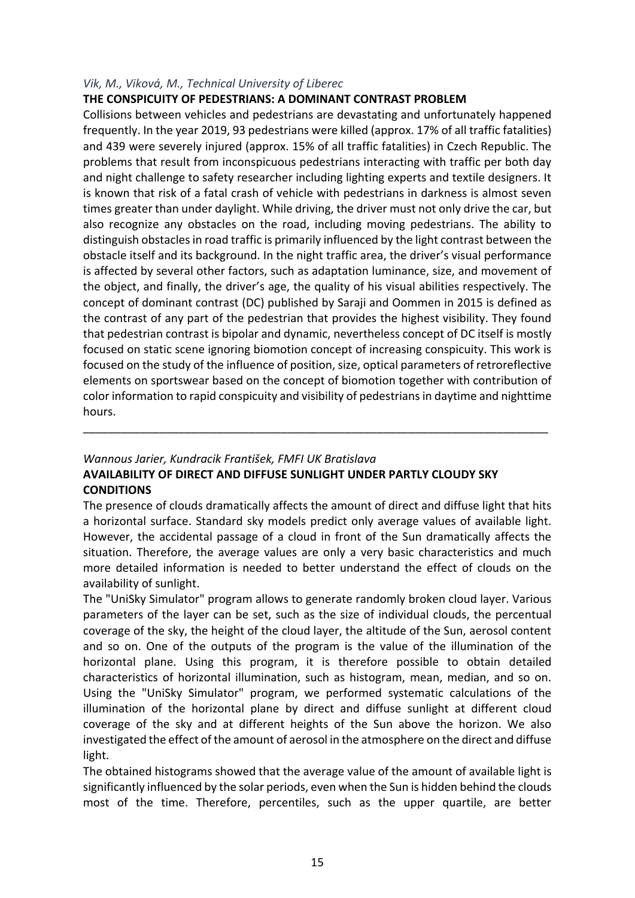# *Vik, M., Viková, M., Technical University of Liberec*

# **THE CONSPICUITY OF PEDESTRIANS: A DOMINANT CONTRAST PROBLEM**

Collisions between vehicles and pedestrians are devastating and unfortunately happened frequently. In the year 2019, 93 pedestrians were killed (approx. 17% of all traffic fatalities) and 439 were severely injured (approx. 15% of all traffic fatalities) in Czech Republic. The problems that result from inconspicuous pedestrians interacting with traffic per both day and night challenge to safety researcher including lighting experts and textile designers. It is known that risk of a fatal crash of vehicle with pedestrians in darkness is almost seven times greater than under daylight. While driving, the driver must not only drive the car, but also recognize any obstacles on the road, including moving pedestrians. The ability to distinguish obstacles in road traffic is primarily influenced by the light contrast between the obstacle itself and its background. In the night traffic area, the driver's visual performance is affected by several other factors, such as adaptation luminance, size, and movement of the object, and finally, the driver's age, the quality of his visual abilities respectively. The concept of dominant contrast (DC) published by Saraji and Oommen in 2015 is defined as the contrast of any part of the pedestrian that provides the highest visibility. They found that pedestrian contrast is bipolar and dynamic, nevertheless concept of DC itself is mostly focused on static scene ignoring biomotion concept of increasing conspicuity. This work is focused on the study of the influence of position, size, optical parameters of retroreflective elements on sportswear based on the concept of biomotion together with contribution of color information to rapid conspicuity and visibility of pedestrians in daytime and nighttime hours.

# *Wannous Jarier, Kundracik František, FMFI UK Bratislava*

# **AVAILABILITY OF DIRECT AND DIFFUSE SUNLIGHT UNDER PARTLY CLOUDY SKY CONDITIONS**

The presence of clouds dramatically affects the amount of direct and diffuse light that hits a horizontal surface. Standard sky models predict only average values of available light. However, the accidental passage of a cloud in front of the Sun dramatically affects the situation. Therefore, the average values are only a very basic characteristics and much more detailed information is needed to better understand the effect of clouds on the availability of sunlight.

\_\_\_\_\_\_\_\_\_\_\_\_\_\_\_\_\_\_\_\_\_\_\_\_\_\_\_\_\_\_\_\_\_\_\_\_\_\_\_\_\_\_\_\_\_\_\_\_\_\_\_\_\_\_\_\_\_\_\_\_\_\_\_\_\_\_\_\_\_\_\_\_\_

The "UniSky Simulator" program allows to generate randomly broken cloud layer. Various parameters of the layer can be set, such as the size of individual clouds, the percentual coverage of the sky, the height of the cloud layer, the altitude of the Sun, aerosol content and so on. One of the outputs of the program is the value of the illumination of the horizontal plane. Using this program, it is therefore possible to obtain detailed characteristics of horizontal illumination, such as histogram, mean, median, and so on. Using the "UniSky Simulator" program, we performed systematic calculations of the illumination of the horizontal plane by direct and diffuse sunlight at different cloud coverage of the sky and at different heights of the Sun above the horizon. We also investigated the effect of the amount of aerosol in the atmosphere on the direct and diffuse light.

The obtained histograms showed that the average value of the amount of available light is significantly influenced by the solar periods, even when the Sun is hidden behind the clouds most of the time. Therefore, percentiles, such as the upper quartile, are better